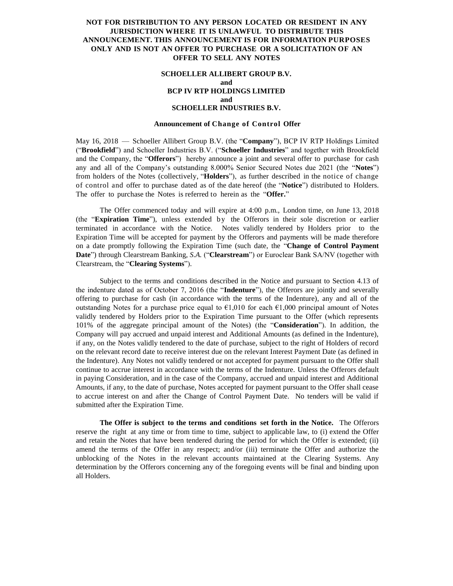# **NOT FOR DISTRIBUTION TO ANY PERSON LOCATED OR RESIDENT IN ANY JURISDICTION WHERE IT IS UNLAWFUL TO DISTRIBUTE THIS ANNOUNCEMENT. THIS ANNOUNCEMENT IS FOR INFORMATION PURPOSES ONLY AND IS NOT AN OFFER TO PURCHASE OR A SOLICITATION OF AN OFFER TO SELL ANY NOTES**

### **SCHOELLER ALLIBERT GROUP B.V. and BCP IV RTP HOLDINGS LIMITED and SCHOELLER INDUSTRIES B.V.**

#### **Announcement of Change of Control Offer**

May 16, 2018 — Schoeller Allibert Group B.V. (the "**Company**"), BCP IV RTP Holdings Limited ("**Brookfield**") and Schoeller Industries B.V. ("**Schoeller Industries**" and together with Brookfield and the Company, the "**Offerors**") hereby announce a joint and several offer to purchase for cash any and all of the Company's outstanding 8.000% Senior Secured Notes due 2021 (the "**Notes**") from holders of the Notes (collectively, "**Holders**"), as further described in the notice of change of control and offer to purchase dated as of the date hereof (the "**Notice**") distributed to Holders. The offer to purchase the Notes is referred to herein as the "**Offer.**"

The Offer commenced today and will expire at 4:00 p.m., London time, on June 13, 2018 (the "Expiration Time"), unless extended by the Offerors in their sole discretion or earlier terminated in accordance with the Notice. Notes validly tendered by Holders prior to the Expiration Time will be accepted for payment by the Offerors and payments will be made therefore on a date promptly following the Expiration Time (such date, the "**Change of Control Payment Date**") through Clearstream Banking, *S.A.* ("**Clearstream**") or Euroclear Bank SA/NV (together with Clearstream, the "**Clearing Systems**").

Subject to the terms and conditions described in the Notice and pursuant to Section 4.13 of the indenture dated as of October 7, 2016 (the "**Indenture**"), the Offerors are jointly and severally offering to purchase for cash (in accordance with the terms of the Indenture), any and all of the outstanding Notes for a purchase price equal to  $\epsilon$ 1,010 for each  $\epsilon$ 1,000 principal amount of Notes validly tendered by Holders prior to the Expiration Time pursuant to the Offer (which represents 101% of the aggregate principal amount of the Notes) (the "**Consideration**"). In addition, the Company will pay accrued and unpaid interest and Additional Amounts (as defined in the Indenture), if any, on the Notes validly tendered to the date of purchase, subject to the right of Holders of record on the relevant record date to receive interest due on the relevant Interest Payment Date (as defined in the Indenture). Any Notes not validly tendered or not accepted for payment pursuant to the Offer shall continue to accrue interest in accordance with the terms of the Indenture. Unless the Offerors default in paying Consideration, and in the case of the Company, accrued and unpaid interest and Additional Amounts, if any, to the date of purchase, Notes accepted for payment pursuant to the Offer shall cease to accrue interest on and after the Change of Control Payment Date. No tenders will be valid if submitted after the Expiration Time.

**The Offer is subject to the terms and conditions set forth in the Notice.** The Offerors reserve the right at any time or from time to time, subject to applicable law, to (i) extend the Offer and retain the Notes that have been tendered during the period for which the Offer is extended; (ii) amend the terms of the Offer in any respect; and/or (iii) terminate the Offer and authorize the unblocking of the Notes in the relevant accounts maintained at the Clearing Systems. Any determination by the Offerors concerning any of the foregoing events will be final and binding upon all Holders.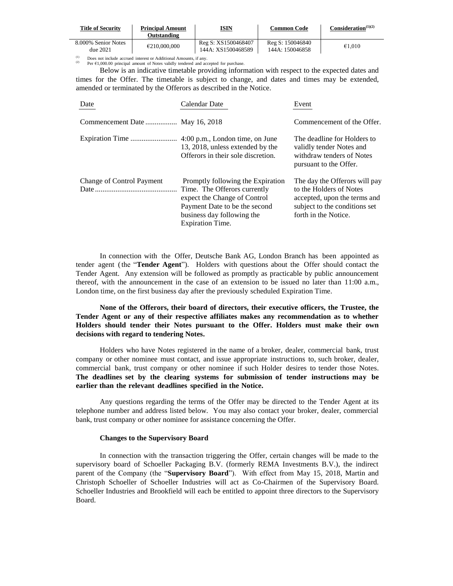| <b>Title of Security</b>        | <b>Principal Amount</b><br>Outstanding | ISIN                                      | Common Code                         | Consideration $(1)(2)$ |
|---------------------------------|----------------------------------------|-------------------------------------------|-------------------------------------|------------------------|
| 8.000% Senior Notes<br>due 2021 | €210,000,000                           | Reg S: XS1500468407<br>144A: XS1500468589 | Reg S: 150046840<br>144A: 150046858 | €1.010                 |

(1) Does not include accrued interest or Additional Amounts, if any.<br>
(2) Per  $\epsilon 1,000.00$  principal amount of Notes validly tendered and accepted for purchase.

Below is an indicative timetable providing information with respect to the expected dates and times for the Offer. The timetable is subject to change, and dates and times may be extended, amended or terminated by the Offerors as described in the Notice.

| Date                           | Calendar Date                                                                                                                                                                               | Event                                                                                                                                             |
|--------------------------------|---------------------------------------------------------------------------------------------------------------------------------------------------------------------------------------------|---------------------------------------------------------------------------------------------------------------------------------------------------|
| Commencement Date May 16, 2018 |                                                                                                                                                                                             | Commencement of the Offer.                                                                                                                        |
|                                | 13, 2018, unless extended by the<br>Offerors in their sole discretion.                                                                                                                      | The deadline for Holders to<br>validly tender Notes and<br>withdraw tenders of Notes<br>pursuant to the Offer.                                    |
| Change of Control Payment      | Promptly following the Expiration<br>Time. The Offerors currently<br>expect the Change of Control<br>Payment Date to be the second<br>business day following the<br><b>Expiration Time.</b> | The day the Offerors will pay<br>to the Holders of Notes<br>accepted, upon the terms and<br>subject to the conditions set<br>forth in the Notice. |

In connection with the Offer, Deutsche Bank AG, London Branch has been appointed as tender agent (the "**Tender Agent**"). Holders with questions about the Offer should contact the Tender Agent. Any extension will be followed as promptly as practicable by public announcement thereof, with the announcement in the case of an extension to be issued no later than 11:00 a.m., London time, on the first business day after the previously scheduled Expiration Time.

**None of the Offerors, their board of directors, their executive officers, the Trustee, the Tender Agent or any of their respective affiliates makes any recommendation as to whether Holders should tender their Notes pursuant to the Offer. Holders must make their own decisions with regard to tendering Notes.**

Holders who have Notes registered in the name of a broker, dealer, commercial bank, trust company or other nominee must contact, and issue appropriate instructions to, such broker, dealer, commercial bank, trust company or other nominee if such Holder desires to tender those Notes. **The deadlines set by the clearing systems for submission of tender instructions may be earlier than the relevant deadlines specified in the Notice.**

Any questions regarding the terms of the Offer may be directed to the Tender Agent at its telephone number and address listed below. You may also contact your broker, dealer, commercial bank, trust company or other nominee for assistance concerning the Offer.

### **Changes to the Supervisory Board**

In connection with the transaction triggering the Offer, certain changes will be made to the supervisory board of Schoeller Packaging B.V. (formerly REMA Investments B.V.), the indirect parent of the Company (the "**Supervisory Board**"). With effect from May 15, 2018, Martin and Christoph Schoeller of Schoeller Industries will act as Co-Chairmen of the Supervisory Board. Schoeller Industries and Brookfield will each be entitled to appoint three directors to the Supervisory Board.